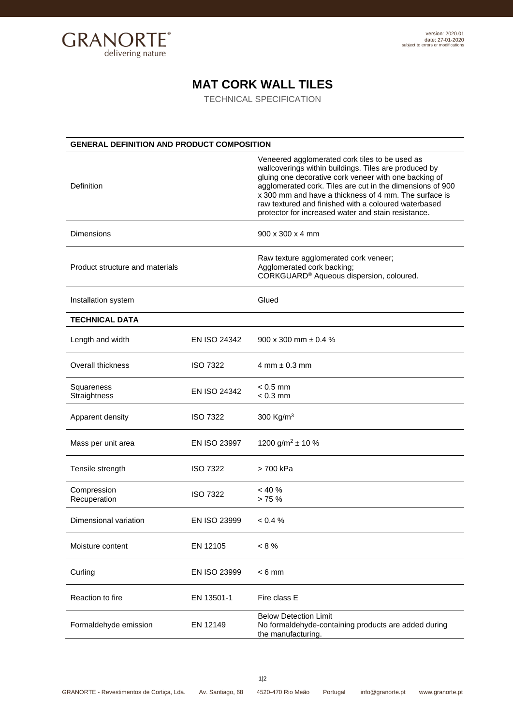

## **MAT CORK WALL TILES**

TECHNICAL SPECIFICATION

| <b>GENERAL DEFINITION AND PRODUCT COMPOSITION</b> |                 |                                                                                                                                                                                                                                                                                                                                                                                                       |  |
|---------------------------------------------------|-----------------|-------------------------------------------------------------------------------------------------------------------------------------------------------------------------------------------------------------------------------------------------------------------------------------------------------------------------------------------------------------------------------------------------------|--|
| Definition                                        |                 | Veneered agglomerated cork tiles to be used as<br>wallcoverings within buildings. Tiles are produced by<br>gluing one decorative cork veneer with one backing of<br>agglomerated cork. Tiles are cut in the dimensions of 900<br>x 300 mm and have a thickness of 4 mm. The surface is<br>raw textured and finished with a coloured waterbased<br>protector for increased water and stain resistance. |  |
| Dimensions                                        |                 | 900 x 300 x 4 mm                                                                                                                                                                                                                                                                                                                                                                                      |  |
| Product structure and materials                   |                 | Raw texture agglomerated cork veneer;<br>Agglomerated cork backing;<br>CORKGUARD <sup>®</sup> Aqueous dispersion, coloured.                                                                                                                                                                                                                                                                           |  |
| Installation system                               |                 | Glued                                                                                                                                                                                                                                                                                                                                                                                                 |  |
| <b>TECHNICAL DATA</b>                             |                 |                                                                                                                                                                                                                                                                                                                                                                                                       |  |
| Length and width                                  | EN ISO 24342    | 900 x 300 mm $\pm$ 0.4 %                                                                                                                                                                                                                                                                                                                                                                              |  |
| Overall thickness                                 | <b>ISO 7322</b> | $4$ mm $\pm$ 0.3 mm                                                                                                                                                                                                                                                                                                                                                                                   |  |
| Squareness<br>Straightness                        | EN ISO 24342    | $< 0.5$ mm<br>$< 0.3$ mm                                                                                                                                                                                                                                                                                                                                                                              |  |
| Apparent density                                  | <b>ISO 7322</b> | 300 Kg/m <sup>3</sup>                                                                                                                                                                                                                                                                                                                                                                                 |  |
| Mass per unit area                                | EN ISO 23997    | 1200 g/m <sup>2</sup> $\pm$ 10 %                                                                                                                                                                                                                                                                                                                                                                      |  |
| Tensile strength                                  | <b>ISO 7322</b> | > 700 kPa                                                                                                                                                                                                                                                                                                                                                                                             |  |
| Compression<br>Recuperation                       | <b>ISO 7322</b> | < 40%<br>> 75%                                                                                                                                                                                                                                                                                                                                                                                        |  |
| Dimensional variation                             | EN ISO 23999    | < 0.4 %                                                                                                                                                                                                                                                                                                                                                                                               |  |
| Moisture content                                  | EN 12105        | $< 8\%$                                                                                                                                                                                                                                                                                                                                                                                               |  |
| Curling                                           | EN ISO 23999    | $< 6$ mm                                                                                                                                                                                                                                                                                                                                                                                              |  |
| Reaction to fire                                  | EN 13501-1      | Fire class E                                                                                                                                                                                                                                                                                                                                                                                          |  |
| Formaldehyde emission                             | EN 12149        | <b>Below Detection Limit</b><br>No formaldehyde-containing products are added during<br>the manufacturing.                                                                                                                                                                                                                                                                                            |  |